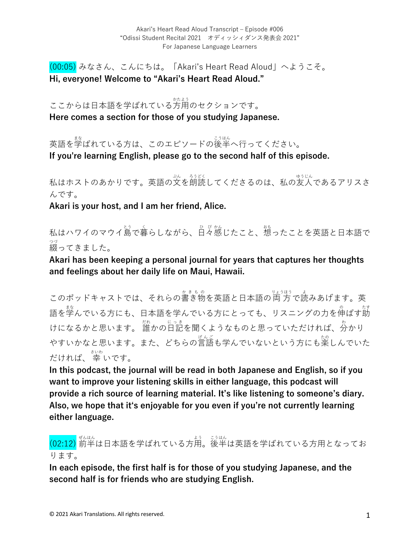(00:05) みなさん、こんにちは。「Akari's Heart Read Aloud」へようこそ。 **Hi, everyone! Welcome to "Akari's Heart Read Aloud."**

ここからは日本語を学ばれている方用のセクションです。 **Here comes a section for those of you studying Japanese.**

英語を学ばれている方は、このエピソードの後半へ行ってください。 **If you're learning English, please go to the second half of this episode.**

私はホストのあかりです。英語の文を朗読してくださるのは、私の友人であるアリスさ んです。

**Akari is your host, and I am her friend, Alice.**

私はハワイのマウイ島で暮らしながら、日々感じたこと、想ったことを英語と日本語で 綴 つづ ってきました。

**Akari has been keeping a personal journal for years that captures her thoughts and feelings about her daily life on Maui, Hawaii.** 

このポッドキャストでは、それらの書き物を英語と日本語の両方で読みあげます。英 語を学んでいる方にも、日本語を学んでいる方にとっても、リスニングの力を伸ばす莇 けになるかと思います。 誰かの日記を聞くようなものと思っていただければ、分かり やすいかなと思います。また、どちらの言語も学んでいないという方にも楽しんでいた だければ、 幸 さいわ いです。

**In this podcast, the journal will be read in both Japanese and English, so if you want to improve your listening skills in either language, this podcast will provide a rich source of learning material. It's like listening to someone's diary. Also, we hope that itʻs enjoyable for you even if you're not currently learning either language.**

(02:12) 前半 ぜんはん は⽇本語を学ばれている⽅⽤ よう 。後半 こうはん は英語を学ばれている⽅⽤となってお ります。

**In each episode, the first half is for those of you studying Japanese, and the second half is for friends who are studying English.**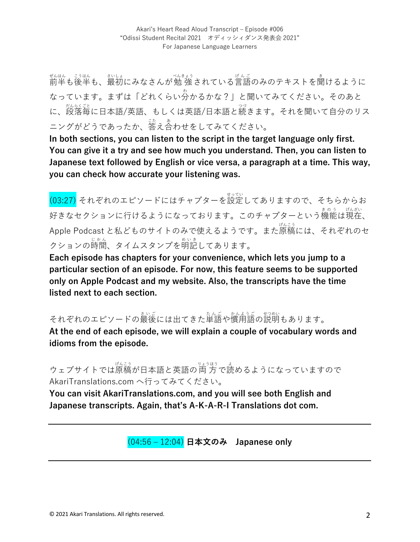ぜんはん。 ジュト<br>前半も後半も、最初にみなさんが勉 強 されている言語のみのテキストを聞けるように なっています。まずは「どれくらい分 わ かるかな?」と聞いてみてください。そのあと に、<sub>怒怒くな</sub><br>に、段落毎に日本語/英語、もしくは英語/日本語と続きます。それを聞いて自分のリス ニングがどうであったか、答え合わせをしてみてください。

**In both sections, you can listen to the script in the target language only first. You can give it a try and see how much you understand. Then, you can listen to Japanese text followed by English or vice versa, a paragraph at a time. This way, you can check how accurate your listening was.**

。<br>(03:27) それぞれのエピソードにはチャプターを設定してありますので、そちらからお 好きなセクションに行けるようになっております。このチャプターという機能は現在、 Apple Podcast と私どものサイトのみで使えるようです。また原稿 げんこう には、それぞれのセ クションの時間、タイムスタンプを明記してあります。

**Each episode has chapters for your convenience, which lets you jump to a particular section of an episode. For now, this feature seems to be supported only on Apple Podcast and my website. Also, the transcripts have the time listed next to each section.**

それぞれのエピソードの最後には出てきた単語や慣甪語の説明もあります。

**At the end of each episode, we will explain a couple of vocabulary words and idioms from the episode.** 

ウェブサイトでは原稿が日本語と英語の両方で読めるようになっていますので AkariTranslations.com へ⾏ってみてください。

**You can visit AkariTranslations.com, and you will see both English and Japanese transcripts. Again, that's A-K-A-R-I Translations dot com.**

(04:56 ‒ 12:04) **⽇本⽂のみ Japanese only**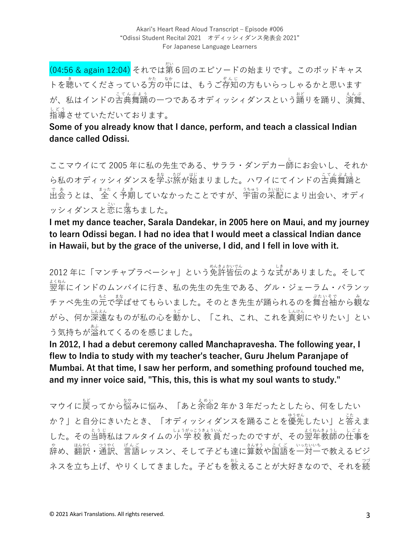(04:56 & again 12:04) それでは第6回のエピソードの始まりです。このポッドキャス トを聴いてくださっている方の中には、もうご存知の方もいらっしゃるかと思います が、私はインドの古典舞踊の一つであるオディッシィダンスという謡りを踊り、演舞、 指導 しどう させていただいております。

**Some of you already know that I dance, perform, and teach a classical Indian dance called Odissi.** 

ここマウイにて 2005 年に私の先⽣である、サララ・ダンデカー師 し にお会いし、それか ら私のオディッシィダンスを学ぶ旅が始まりました。ハワイにてインドの古典舞踊と で。<br>出会うとは、 全 く予期していなかったことですが、宇宙の采配により出会い、オディ ッシィダンスと恋に落ちました。

**I met my dance teacher, Sarala Dandekar, in 2005 here on Maui, and my journey to learn Odissi began. I had no idea that I would meet a classical Indian dance in Hawaii, but by the grace of the universe, I did, and I fell in love with it.**

2012 年に「マンチャプラべーシャ」という免許皆伝 めんきょかいでん のような式 しき がありました。そして ょ、。。<br>翌年にインドのムンバイに行き、私の先生の先生である、グル・ジェーラム・パランッ チァペ先生の元で学ばせてもらいました。そのとき先生が踊られるのを舞台袖から観な がら、何か深遠なものが私の心を動かし、「これ、これ、これを真剣にやりたい」とい う気持ちが溢れてくるのを感じました。

**In 2012, I had a debut ceremony called Manchapravesha. The following year, I flew to India to study with my teacher's teacher, Guru Jhelum Paranjape of Mumbai. At that time, I saw her perform, and something profound touched me, and my inner voice said, "This, this, this is what my soul wants to study."** 

マウイに戻ってから悩みに悩み、「あと余命2年か3年だったとしたら、何をしたい か?」と自分にきいたとき、「オディッシィダンスを踊ることを優先したい」と答えま した。その当時私はフルタイムの小 学 校 教 員 だったのですが、その翌年教師の仕事を ゃ<br>辞め、翻訳・通訳、言語レッスン、そして子ども達に算数や国語を一対一で教えるビジ ネスを立ち上げ、やりくしてきました。子どもを教えることが大好きなので、それを続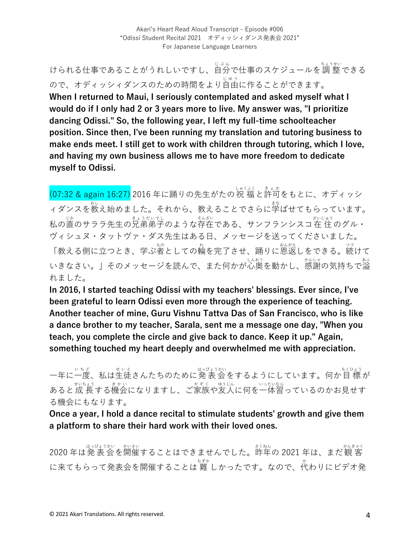Akari's Heart Read Aloud Transcript - Episode #006 "Odissi Student Recital 2021 オディッシィダンス発表会 2021" For Japanese Language Learners

けられる仕事であることがうれしいですし、自分で仕事のスケジュールを調 整できる ので、オディッシィダンスのための時間をより自由に作ることができます。 **When I returned to Maui, I seriously contemplated and asked myself what I would do if I only had 2 or 3 years more to live. My answer was, "I prioritize dancing Odissi." So, the following year, I left my full-time schoolteacher position. Since then, I've been running my translation and tutoring business to make ends meet. I still get to work with children through tutoring, which I love, and having my own business allows me to have more freedom to dedicate myself to Odissi.**

(07:32 & again 16:27) 2016 年に踊りの先生がたの祝 福と許可をもとに、オディッシ ィダンスを教え始めました。それから、教えることでさらに学ばせてもらっています。 私の直のサララ先生の見弟弟子のような存在である、サンフランシスコ在 住 のグル・ ヴィシュヌ・タットヴァ・ダス先⽣はある⽇、メッセージを送ってくださいました。 「教える側に立つとき、学ぶ者としての輪を完了させ、踊りに恩返しをできる。続けて いきなさい。」そのメッセージを読んで、また何かが心奥を動かし、感謝の気持ちで溢 れました。

**In 2016, I started teaching Odissi with my teachers' blessings. Ever since, I've been grateful to learn Odissi even more through the experience of teaching. Another teacher of mine, Guru Vishnu Tattva Das of San Francisco, who is like a dance brother to my teacher, Sarala, sent me a message one day, "When you teach, you complete the circle and give back to dance. Keep it up." Again, something touched my heart deeply and overwhelmed me with appreciation.**

一年に一度、私は生徒さんたちのために発 表 会 をするようにしています。何か目 標 が あると成長する機会になりますし、ご家族や友人に何を一体習っているのかお見せす る機会にもなります。

**Once a year, I hold a dance recital to stimulate students' growth and give them a platform to share their hard work with their loved ones.**

2020 年は発表会を開催することはできませんでした。昨年の 2021 年は、まだ観 客 に来てもらって発表会を開催することは 難 むずか しかったです。なので、代 か わりにビデオ発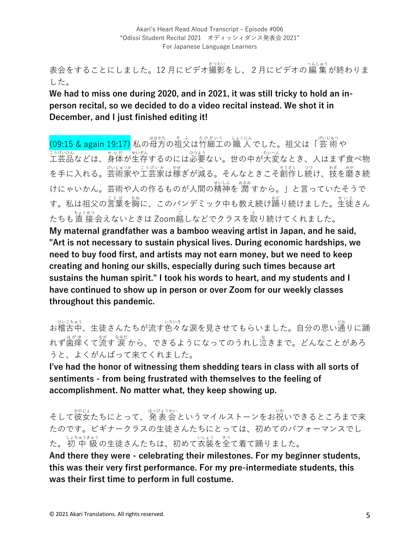ま会をすることにしました。12 月にビデオ撮影をし、 2 月にビデオの編 集 が終わりま した。

**We had to miss one during 2020, and in 2021, it was still tricky to hold an inperson recital, so we decided to do a video recital instead. We shot it in December, and I just finished editing it!**

(09:15 & again 19:17) 私の母方の祖父は竹細工の職 人でした。祖父は「芸 術 や <u>ごはいん</u><br>工芸品などは、身体が生存するのには必要ない。世の中が大変なとき、人はまず食べ物 を手に入れる。芸術家や工芸家は稼ぎが減る。そんなときこそ創作し続け、技を磨き続 けにゃいかん。芸術や人の作るものが人間の精神を 潤 すから。」と言っていたそうで す。私は祖父の言葉を胸に、このパンデミック中も教え続け踊り続けました。生徒さん たちも直 接会えないときは Zoom越しなどでクラスを取り続けてくれました。 **My maternal grandfather was a bamboo weaving artist in Japan, and he said, "Art is not necessary to sustain physical lives. During economic hardships, we need to buy food first, and artists may not earn money, but we need to keep creating and honing our skills, especially during such times because art sustains the human spirit." I took his words to heart, and my students and I have continued to show up in person or over Zoom for our weekly classes throughout this pandemic.**

、<sub>はいろゅう</sub><br>お稽古中、生徒さんたちが流す色々な涙を見させてもらいました。自分の思い通りに踊 れず歯痒くて流す 涼だ<br>れず歯痒くて流す 涙 から、できるようになってのうれし泣きまで。どんなことがあろ うと、よくがんばって来てくれました。

**I've had the honor of witnessing them shedding tears in class with all sorts of sentiments - from being frustrated with themselves to the feeling of accomplishment. No matter what, they keep showing up.**

そして彼女たちにとって、発表会というマイルストーンをお祝いできるところまで来 たのです。ビギナークラスの⽣徒さんたちにとっては、初めてのパフォーマンスでし た。初中 級の生徒さんたちは、初めて衣装を全て着て踊りました。 **And there they were - celebrating their milestones. For my beginner students, this was their very first performance. For my pre-intermediate students, this was their first time to perform in full costume.**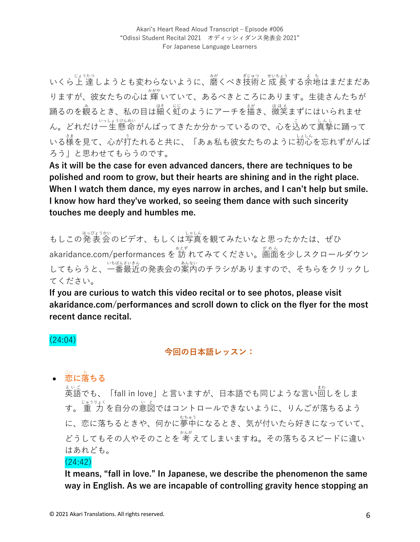いくら上 達しようとも変わらないように、磨くべき技術と成 長する余地はまだまだあ りますが、彼女たちの心は 輝 いていて、あるべきところにあります。生徒さんたちが 踊るのを観るとき、私の目は細く虹のようにアーチを描き、微笑まずにはいられませ ん。どれだけ一生 懸命がんばってきたか分かっているので、心を込めて真摯に踊って いる様を見て、心が打たれると共に、「あぁ私も彼女たちのように初心を忘れずがんば ろう」と思わせてもらうのです。

**As it will be the case for even advanced dancers, there are techniques to be polished and room to grow, but their hearts are shining and in the right place. When I watch them dance, my eyes narrow in arches, and I can't help but smile. I know how hard they've worked, so seeing them dance with such sincerity touches me deeply and humbles me.**

もしこの発表会のビデオ、もしくは写真を観てみたいなと思ったかたは、ぜひ akaridance.com/performances を 訪 れてみてください。<sup>がめん</sup><br>ークレスクロールダウン してもらうと、一番最近の発表会の案内のチラシがありますので、そちらをクリックし てください。

**If you are curious to watch this video recital or to see photos, please visit akaridance.com/performances and scroll down to click on the flyer for the most recent dance recital.** 

### (24:04)

**今回の⽇本語レッスン:**

# • **恋** こい **に落** お **ちる**

ぇ、。<br>英語でも、「fall in love」と言いますが、日本語でも同じような言い回しをしま す。 重 ⼒ じゅうりょく を⾃分の意図 い と ではコントロールできないように、りんごが落ちるよう に、恋に落ちるときや、何かに夢中になるとき、気が付いたら好きになっていて、 どうしてもその人やそのことを 考 えてしまいますね。その落ちるスピードに違い はあれども。

### (24:42)

**It means, "fall in love." In Japanese, we describe the phenomenon the same way in English. As we are incapable of controlling gravity hence stopping an**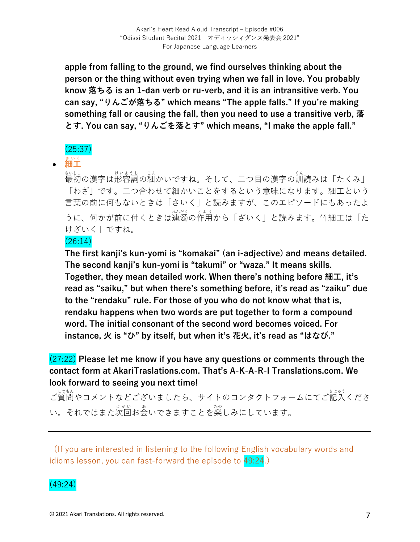**apple from falling to the ground, we find ourselves thinking about the person or the thing without even trying when we fall in love. You probably know 落ちる is an 1-dan verb or ru-verb, and it is an intransitive verb. You can say, "りんごが落ちる" which means "The apple falls." If you're making something fall or causing the fall, then you need to use a transitive verb, 落 とす. You can say, "りんごを落とす" which means, "I make the apple fall."**

### (25:37)

# • 細工

まいは<br>最初の漢字は形容詞の細かいですね。そして、二つ目の漢字の訓読みは「たくみ」 「わざ」です。二つ合わせて細かいことをするという意味になります。細工という 言葉の前に何もないときは「さいく」と読みますが、このエピソードにもあったよ うに、何かが前に付くときは連濁の作用から「ざいく」と読みます。竹細工は「た けざいく」ですね。

### (26:14)

**The first kanji's kun-yomi is "komakai" (an i-adjective) and means detailed. The second kanji's kun-yomi is "takumi" or "waza." It means skills. Together, they mean detailed work. When there's nothing before 細⼯, it's read as "saiku," but when there's something before, it's read as "zaiku" due to the "rendaku" rule. For those of you who do not know what that is, rendaku happens when two words are put together to form a compound word. The initial consonant of the second word becomes voiced. For instance, ⽕ is "ひ" by itself, but when it's 花⽕, it's read as "はなび."**

(27:22) **Please let me know if you have any questions or comments through the contact form at AkariTraslations.com. That's A-K-A-R-I Translations.com. We look forward to seeing you next time!**

ご質問やコメントなどございましたら、サイトのコンタクトフォームにてご記入くださ い。それではまた次回お会いできますことを楽しみにしています。

(If you are interested in listening to the following English vocabulary words and idioms lesson, you can fast-forward the episode to 49:24.)

# (49:24)